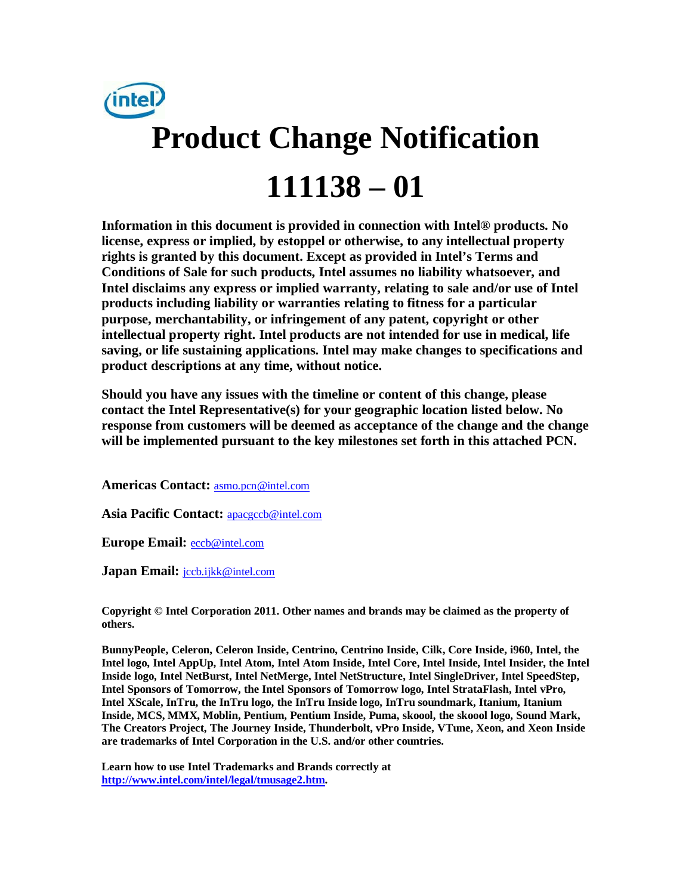

**Information in this document is provided in connection with Intel® products. No license, express or implied, by estoppel or otherwise, to any intellectual property rights is granted by this document. Except as provided in Intel's Terms and Conditions of Sale for such products, Intel assumes no liability whatsoever, and Intel disclaims any express or implied warranty, relating to sale and/or use of Intel products including liability or warranties relating to fitness for a particular purpose, merchantability, or infringement of any patent, copyright or other intellectual property right. Intel products are not intended for use in medical, life saving, or life sustaining applications. Intel may make changes to specifications and product descriptions at any time, without notice.** 

**Should you have any issues with the timeline or content of this change, please contact the Intel Representative(s) for your geographic location listed below. No response from customers will be deemed as acceptance of the change and the change will be implemented pursuant to the key milestones set forth in this attached PCN.** 

**Americas Contact:** [asmo.pcn@intel.com](mailto:asmo.pcn@intel.com) 

**Asia Pacific Contact:** [apacgccb@intel.com](mailto:apacgccb@intel.com) 

**Europe Email:** [eccb@intel.com](mailto:eccb@intel.com) 

Japan Email: **jccb.ijkk@intel.com** 

**Copyright © Intel Corporation 2011. Other names and brands may be claimed as the property of others.**

**BunnyPeople, Celeron, Celeron Inside, Centrino, Centrino Inside, Cilk, Core Inside, i960, Intel, the Intel logo, Intel AppUp, Intel Atom, Intel Atom Inside, Intel Core, Intel Inside, Intel Insider, the Intel Inside logo, Intel NetBurst, Intel NetMerge, Intel NetStructure, Intel SingleDriver, Intel SpeedStep, Intel Sponsors of Tomorrow, the Intel Sponsors of Tomorrow logo, Intel StrataFlash, Intel vPro, Intel XScale, InTru, the InTru logo, the InTru Inside logo, InTru soundmark, Itanium, Itanium Inside, MCS, MMX, Moblin, Pentium, Pentium Inside, Puma, skoool, the skoool logo, Sound Mark, The Creators Project, The Journey Inside, Thunderbolt, vPro Inside, VTune, Xeon, and Xeon Inside are trademarks of Intel Corporation in the U.S. and/or other countries.**

**Learn how to use Intel Trademarks and Brands correctly at [http://www.intel.com/intel/legal/tmusage2.htm.](http://www.intel.com/intel/legal/tmusage2.htm)**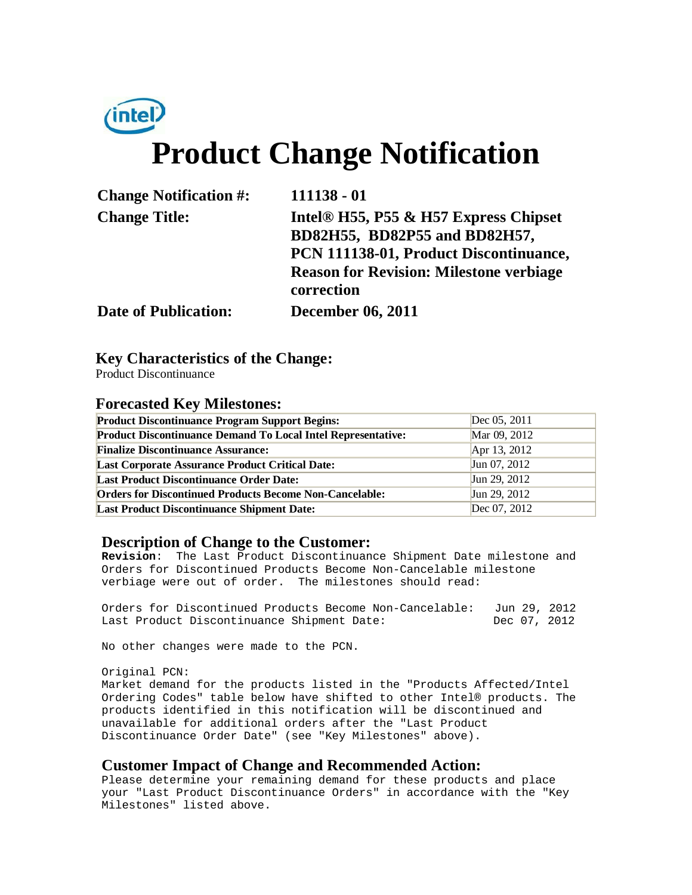# *(intel)* **Product Change Notification**

| <b>Change Notification #:</b> | $111138 - 01$                                                                                                                                                                                |
|-------------------------------|----------------------------------------------------------------------------------------------------------------------------------------------------------------------------------------------|
| <b>Change Title:</b>          | Intel <sup>®</sup> H55, P55 & H57 Express Chipset<br>BD82H55, BD82P55 and BD82H57,<br>PCN 111138-01, Product Discontinuance,<br><b>Reason for Revision: Milestone verbiage</b><br>correction |
| <b>Date of Publication:</b>   | <b>December 06, 2011</b>                                                                                                                                                                     |

# **Key Characteristics of the Change:**

Product Discontinuance

### **Forecasted Key Milestones:**

| <b>Product Discontinuance Program Support Begins:</b>               | Dec 05, 2011 |
|---------------------------------------------------------------------|--------------|
| <b>Product Discontinuance Demand To Local Intel Representative:</b> | Mar 09, 2012 |
| <b>Finalize Discontinuance Assurance:</b>                           | Apr 13, 2012 |
| <b>Last Corporate Assurance Product Critical Date:</b>              | Jun 07, 2012 |
| <b>Last Product Discontinuance Order Date:</b>                      | Jun 29, 2012 |
| <b>Orders for Discontinued Products Become Non-Cancelable:</b>      | Jun 29, 2012 |
| <b>Last Product Discontinuance Shipment Date:</b>                   | Dec 07, 2012 |

## **Description of Change to the Customer:**

**Revision**: The Last Product Discontinuance Shipment Date milestone and Orders for Discontinued Products Become Non-Cancelable milestone verbiage were out of order. The milestones should read:

Orders for Discontinued Products Become Non-Cancelable: Jun 29, 2012<br>Last Product Discontinuance Shipment Date: Dec 07, 2012 Last Product Discontinuance Shipment Date:

No other changes were made to the PCN.

Original PCN: Market demand for the products listed in the "Products Affected/Intel Ordering Codes" table below have shifted to other Intel® products. The products identified in this notification will be discontinued and unavailable for additional orders after the "Last Product

#### **Customer Impact of Change and Recommended Action:**

Discontinuance Order Date" (see "Key Milestones" above).

Please determine your remaining demand for these products and place your "Last Product Discontinuance Orders" in accordance with the "Key Milestones" listed above.